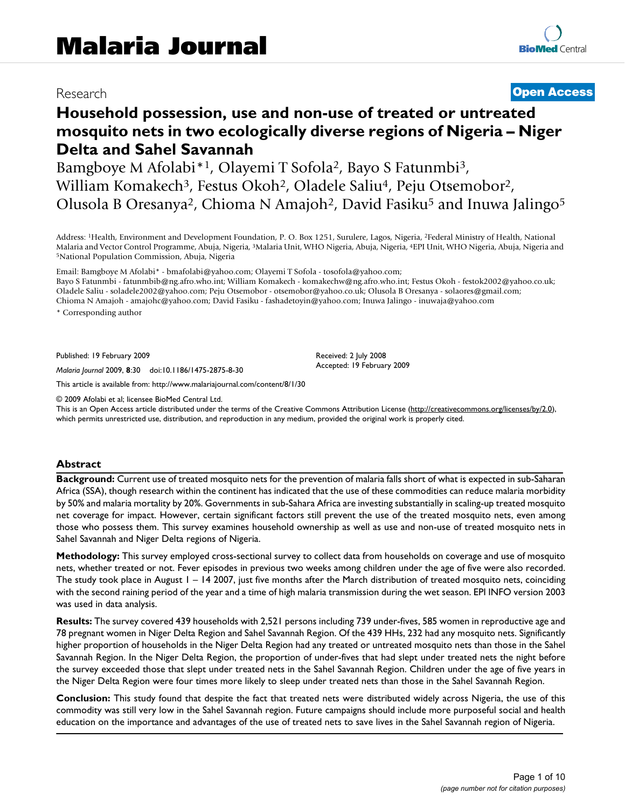## Research **[Open Access](http://www.biomedcentral.com/info/about/charter/)**

# **Household possession, use and non-use of treated or untreated mosquito nets in two ecologically diverse regions of Nigeria – Niger Delta and Sahel Savannah**

Bamgboye M Afolabi\*1, Olayemi T Sofola2, Bayo S Fatunmbi3, William Komakech<sup>3</sup>, Festus Okoh<sup>2</sup>, Oladele Saliu<sup>4</sup>, Peju Otsemobor<sup>2</sup>, Olusola B Oresanya<sup>2</sup>, Chioma N Amajoh<sup>2</sup>, David Fasiku<sup>5</sup> and Inuwa Jalingo<sup>5</sup>

Address: 1Health, Environment and Development Foundation, P. O. Box 1251, Surulere, Lagos, Nigeria, 2Federal Ministry of Health, National Malaria and Vector Control Programme, Abuja, Nigeria, <sup>3</sup>Malaria Unit, WHO Nigeria, Abuja, Nigeria, <sup>4</sup>EPI Unit, WHO Nigeria, Abuja, Nigeria and <sup>5</sup>National Population Commission, Abuja, Nigeria

Email: Bamgboye M Afolabi\* - bmafolabi@yahoo.com; Olayemi T Sofola - tosofola@yahoo.com;

Bayo S Fatunmbi - fatunmbib@ng.afro.who.int; William Komakech - komakechw@ng.afro.who.int; Festus Okoh - festok2002@yahoo.co.uk; Oladele Saliu - soladele2002@yahoo.com; Peju Otsemobor - otsemobor@yahoo.co.uk; Olusola B Oresanya - solaores@gmail.com; Chioma N Amajoh - amajohc@yahoo.com; David Fasiku - fashadetoyin@yahoo.com; Inuwa Jalingo - inuwaja@yahoo.com \* Corresponding author

Published: 19 February 2009

*Malaria Journal* 2009, **8**:30 doi:10.1186/1475-2875-8-30

[This article is available from: http://www.malariajournal.com/content/8/1/30](http://www.malariajournal.com/content/8/1/30)

© 2009 Afolabi et al; licensee BioMed Central Ltd.

This is an Open Access article distributed under the terms of the Creative Commons Attribution License [\(http://creativecommons.org/licenses/by/2.0\)](http://creativecommons.org/licenses/by/2.0), which permits unrestricted use, distribution, and reproduction in any medium, provided the original work is properly cited.

Received: 2 July 2008 Accepted: 19 February 2009

#### **Abstract**

**Background:** Current use of treated mosquito nets for the prevention of malaria falls short of what is expected in sub-Saharan Africa (SSA), though research within the continent has indicated that the use of these commodities can reduce malaria morbidity by 50% and malaria mortality by 20%. Governments in sub-Sahara Africa are investing substantially in scaling-up treated mosquito net coverage for impact. However, certain significant factors still prevent the use of the treated mosquito nets, even among those who possess them. This survey examines household ownership as well as use and non-use of treated mosquito nets in Sahel Savannah and Niger Delta regions of Nigeria.

**Methodology:** This survey employed cross-sectional survey to collect data from households on coverage and use of mosquito nets, whether treated or not. Fever episodes in previous two weeks among children under the age of five were also recorded. The study took place in August  $1 - 14$  2007, just five months after the March distribution of treated mosquito nets, coinciding with the second raining period of the year and a time of high malaria transmission during the wet season. EPI INFO version 2003 was used in data analysis.

**Results:** The survey covered 439 households with 2,521 persons including 739 under-fives, 585 women in reproductive age and 78 pregnant women in Niger Delta Region and Sahel Savannah Region. Of the 439 HHs, 232 had any mosquito nets. Significantly higher proportion of households in the Niger Delta Region had any treated or untreated mosquito nets than those in the Sahel Savannah Region. In the Niger Delta Region, the proportion of under-fives that had slept under treated nets the night before the survey exceeded those that slept under treated nets in the Sahel Savannah Region. Children under the age of five years in the Niger Delta Region were four times more likely to sleep under treated nets than those in the Sahel Savannah Region.

**Conclusion:** This study found that despite the fact that treated nets were distributed widely across Nigeria, the use of this commodity was still very low in the Sahel Savannah region. Future campaigns should include more purposeful social and health education on the importance and advantages of the use of treated nets to save lives in the Sahel Savannah region of Nigeria.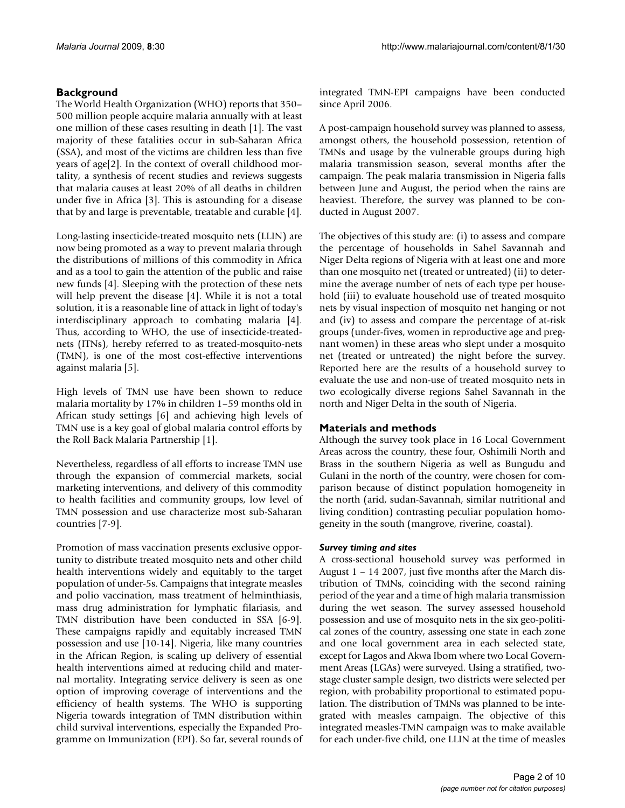#### **Background**

The World Health Organization (WHO) reports that 350– 500 million people acquire malaria annually with at least one million of these cases resulting in death [1]. The vast majority of these fatalities occur in sub-Saharan Africa (SSA), and most of the victims are children less than five years of age[2]. In the context of overall childhood mortality, a synthesis of recent studies and reviews suggests that malaria causes at least 20% of all deaths in children under five in Africa [3]. This is astounding for a disease that by and large is preventable, treatable and curable [4].

Long-lasting insecticide-treated mosquito nets (LLIN) are now being promoted as a way to prevent malaria through the distributions of millions of this commodity in Africa and as a tool to gain the attention of the public and raise new funds [4]. Sleeping with the protection of these nets will help prevent the disease [4]. While it is not a total solution, it is a reasonable line of attack in light of today's interdisciplinary approach to combating malaria [4]. Thus, according to WHO, the use of insecticide-treatednets (ITNs), hereby referred to as treated-mosquito-nets (TMN), is one of the most cost-effective interventions against malaria [5].

High levels of TMN use have been shown to reduce malaria mortality by 17% in children 1–59 months old in African study settings [6] and achieving high levels of TMN use is a key goal of global malaria control efforts by the Roll Back Malaria Partnership [1].

Nevertheless, regardless of all efforts to increase TMN use through the expansion of commercial markets, social marketing interventions, and delivery of this commodity to health facilities and community groups, low level of TMN possession and use characterize most sub-Saharan countries [7-9].

Promotion of mass vaccination presents exclusive opportunity to distribute treated mosquito nets and other child health interventions widely and equitably to the target population of under-5s. Campaigns that integrate measles and polio vaccination, mass treatment of helminthiasis, mass drug administration for lymphatic filariasis, and TMN distribution have been conducted in SSA [6-9]. These campaigns rapidly and equitably increased TMN possession and use [10-14]. Nigeria, like many countries in the African Region, is scaling up delivery of essential health interventions aimed at reducing child and maternal mortality. Integrating service delivery is seen as one option of improving coverage of interventions and the efficiency of health systems. The WHO is supporting Nigeria towards integration of TMN distribution within child survival interventions, especially the Expanded Programme on Immunization (EPI). So far, several rounds of integrated TMN-EPI campaigns have been conducted since April 2006.

A post-campaign household survey was planned to assess, amongst others, the household possession, retention of TMNs and usage by the vulnerable groups during high malaria transmission season, several months after the campaign. The peak malaria transmission in Nigeria falls between June and August, the period when the rains are heaviest. Therefore, the survey was planned to be conducted in August 2007.

The objectives of this study are: (i) to assess and compare the percentage of households in Sahel Savannah and Niger Delta regions of Nigeria with at least one and more than one mosquito net (treated or untreated) (ii) to determine the average number of nets of each type per household (iii) to evaluate household use of treated mosquito nets by visual inspection of mosquito net hanging or not and (iv) to assess and compare the percentage of at-risk groups (under-fives, women in reproductive age and pregnant women) in these areas who slept under a mosquito net (treated or untreated) the night before the survey. Reported here are the results of a household survey to evaluate the use and non-use of treated mosquito nets in two ecologically diverse regions Sahel Savannah in the north and Niger Delta in the south of Nigeria.

#### **Materials and methods**

Although the survey took place in 16 Local Government Areas across the country, these four, Oshimili North and Brass in the southern Nigeria as well as Bungudu and Gulani in the north of the country, were chosen for comparison because of distinct population homogeneity in the north (arid, sudan-Savannah, similar nutritional and living condition) contrasting peculiar population homogeneity in the south (mangrove, riverine, coastal).

#### *Survey timing and sites*

A cross-sectional household survey was performed in August 1 – 14 2007, just five months after the March distribution of TMNs, coinciding with the second raining period of the year and a time of high malaria transmission during the wet season. The survey assessed household possession and use of mosquito nets in the six geo-political zones of the country, assessing one state in each zone and one local government area in each selected state, except for Lagos and Akwa Ibom where two Local Government Areas (LGAs) were surveyed. Using a stratified, twostage cluster sample design, two districts were selected per region, with probability proportional to estimated population. The distribution of TMNs was planned to be integrated with measles campaign. The objective of this integrated measles-TMN campaign was to make available for each under-five child, one LLIN at the time of measles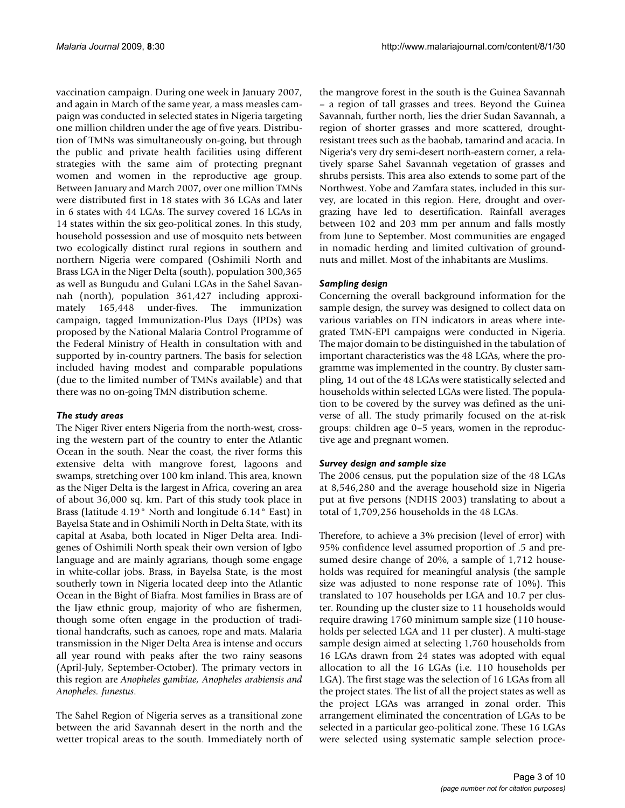vaccination campaign. During one week in January 2007, and again in March of the same year, a mass measles campaign was conducted in selected states in Nigeria targeting one million children under the age of five years. Distribution of TMNs was simultaneously on-going, but through the public and private health facilities using different strategies with the same aim of protecting pregnant women and women in the reproductive age group. Between January and March 2007, over one million TMNs were distributed first in 18 states with 36 LGAs and later in 6 states with 44 LGAs. The survey covered 16 LGAs in 14 states within the six geo-political zones. In this study, household possession and use of mosquito nets between two ecologically distinct rural regions in southern and northern Nigeria were compared (Oshimili North and Brass LGA in the Niger Delta (south), population 300,365 as well as Bungudu and Gulani LGAs in the Sahel Savannah (north), population 361,427 including approximately 165,448 under-fives. The immunization campaign, tagged Immunization-Plus Days (IPDs) was proposed by the National Malaria Control Programme of the Federal Ministry of Health in consultation with and supported by in-country partners. The basis for selection included having modest and comparable populations (due to the limited number of TMNs available) and that there was no on-going TMN distribution scheme.

#### *The study areas*

The Niger River enters Nigeria from the north-west, crossing the western part of the country to enter the Atlantic Ocean in the south. Near the coast, the river forms this extensive delta with mangrove forest, lagoons and swamps, stretching over 100 km inland. This area, known as the Niger Delta is the largest in Africa, covering an area of about 36,000 sq. km. Part of this study took place in Brass (latitude 4.19° North and longitude 6.14° East) in Bayelsa State and in Oshimili North in Delta State, with its capital at Asaba, both located in Niger Delta area. Indigenes of Oshimili North speak their own version of Igbo language and are mainly agrarians, though some engage in white-collar jobs. Brass, in Bayelsa State, is the most southerly town in Nigeria located deep into the Atlantic Ocean in the Bight of Biafra. Most families in Brass are of the Ijaw ethnic group, majority of who are fishermen, though some often engage in the production of traditional handcrafts, such as canoes, rope and mats. Malaria transmission in the Niger Delta Area is intense and occurs all year round with peaks after the two rainy seasons (April-July, September-October). The primary vectors in this region are *Anopheles gambiae, Anopheles arabiensis and Anopheles. funestus*.

The Sahel Region of Nigeria serves as a transitional zone between the arid Savannah desert in the north and the wetter tropical areas to the south. Immediately north of the mangrove forest in the south is the Guinea Savannah – a region of tall grasses and trees. Beyond the Guinea Savannah, further north, lies the drier Sudan Savannah, a region of shorter grasses and more scattered, droughtresistant trees such as the baobab, tamarind and acacia. In Nigeria's very dry semi-desert north-eastern corner, a relatively sparse Sahel Savannah vegetation of grasses and shrubs persists. This area also extends to some part of the Northwest. Yobe and Zamfara states, included in this survey, are located in this region. Here, drought and overgrazing have led to desertification. Rainfall averages between 102 and 203 mm per annum and falls mostly from June to September. Most communities are engaged in nomadic herding and limited cultivation of groundnuts and millet. Most of the inhabitants are Muslims.

### *Sampling design*

Concerning the overall background information for the sample design, the survey was designed to collect data on various variables on ITN indicators in areas where integrated TMN-EPI campaigns were conducted in Nigeria. The major domain to be distinguished in the tabulation of important characteristics was the 48 LGAs, where the programme was implemented in the country. By cluster sampling, 14 out of the 48 LGAs were statistically selected and households within selected LGAs were listed. The population to be covered by the survey was defined as the universe of all. The study primarily focused on the at-risk groups: children age 0–5 years, women in the reproductive age and pregnant women.

#### *Survey design and sample size*

The 2006 census, put the population size of the 48 LGAs at 8,546,280 and the average household size in Nigeria put at five persons (NDHS 2003) translating to about a total of 1,709,256 households in the 48 LGAs.

Therefore, to achieve a 3% precision (level of error) with 95% confidence level assumed proportion of .5 and presumed desire change of 20%, a sample of 1,712 households was required for meaningful analysis (the sample size was adjusted to none response rate of 10%). This translated to 107 households per LGA and 10.7 per cluster. Rounding up the cluster size to 11 households would require drawing 1760 minimum sample size (110 households per selected LGA and 11 per cluster). A multi-stage sample design aimed at selecting 1,760 households from 16 LGAs drawn from 24 states was adopted with equal allocation to all the 16 LGAs (i.e. 110 households per LGA). The first stage was the selection of 16 LGAs from all the project states. The list of all the project states as well as the project LGAs was arranged in zonal order. This arrangement eliminated the concentration of LGAs to be selected in a particular geo-political zone. These 16 LGAs were selected using systematic sample selection proce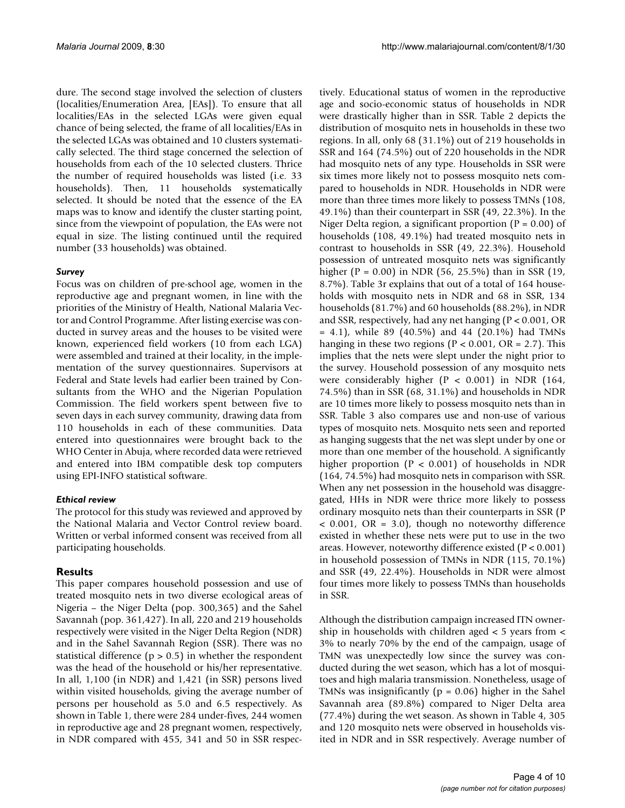dure. The second stage involved the selection of clusters (localities/Enumeration Area, [EAs]). To ensure that all localities/EAs in the selected LGAs were given equal chance of being selected, the frame of all localities/EAs in the selected LGAs was obtained and 10 clusters systematically selected. The third stage concerned the selection of households from each of the 10 selected clusters. Thrice the number of required households was listed (i.e. 33 households). Then, 11 households systematically selected. It should be noted that the essence of the EA maps was to know and identify the cluster starting point, since from the viewpoint of population, the EAs were not equal in size. The listing continued until the required number (33 households) was obtained.

#### *Survey*

Focus was on children of pre-school age, women in the reproductive age and pregnant women, in line with the priorities of the Ministry of Health, National Malaria Vector and Control Programme. After listing exercise was conducted in survey areas and the houses to be visited were known, experienced field workers (10 from each LGA) were assembled and trained at their locality, in the implementation of the survey questionnaires. Supervisors at Federal and State levels had earlier been trained by Consultants from the WHO and the Nigerian Population Commission. The field workers spent between five to seven days in each survey community, drawing data from 110 households in each of these communities. Data entered into questionnaires were brought back to the WHO Center in Abuja, where recorded data were retrieved and entered into IBM compatible desk top computers using EPI-INFO statistical software.

#### *Ethical review*

The protocol for this study was reviewed and approved by the National Malaria and Vector Control review board. Written or verbal informed consent was received from all participating households.

#### **Results**

This paper compares household possession and use of treated mosquito nets in two diverse ecological areas of Nigeria – the Niger Delta (pop. 300,365) and the Sahel Savannah (pop. 361,427). In all, 220 and 219 households respectively were visited in the Niger Delta Region (NDR) and in the Sahel Savannah Region (SSR). There was no statistical difference ( $p > 0.5$ ) in whether the respondent was the head of the household or his/her representative. In all, 1,100 (in NDR) and 1,421 (in SSR) persons lived within visited households, giving the average number of persons per household as 5.0 and 6.5 respectively. As shown in Table 1, there were 284 under-fives, 244 women in reproductive age and 28 pregnant women, respectively, in NDR compared with 455, 341 and 50 in SSR respectively. Educational status of women in the reproductive age and socio-economic status of households in NDR were drastically higher than in SSR. Table 2 depicts the distribution of mosquito nets in households in these two regions. In all, only 68 (31.1%) out of 219 households in SSR and 164 (74.5%) out of 220 households in the NDR had mosquito nets of any type. Households in SSR were six times more likely not to possess mosquito nets compared to households in NDR. Households in NDR were more than three times more likely to possess TMNs (108, 49.1%) than their counterpart in SSR (49, 22.3%). In the Niger Delta region, a significant proportion ( $P = 0.00$ ) of households (108, 49.1%) had treated mosquito nets in contrast to households in SSR (49, 22.3%). Household possession of untreated mosquito nets was significantly higher (P = 0.00) in NDR (56, 25.5%) than in SSR (19, 8.7%). Table 3r explains that out of a total of 164 households with mosquito nets in NDR and 68 in SSR, 134 households (81.7%) and 60 households (88.2%), in NDR and SSR, respectively, had any net hanging (P < 0.001, OR  $= 4.1$ , while 89 (40.5%) and 44 (20.1%) had TMNs hanging in these two regions ( $P < 0.001$ ,  $OR = 2.7$ ). This implies that the nets were slept under the night prior to the survey. Household possession of any mosquito nets were considerably higher (P < 0.001) in NDR (164, 74.5%) than in SSR (68, 31.1%) and households in NDR are 10 times more likely to possess mosquito nets than in SSR. Table 3 also compares use and non-use of various types of mosquito nets. Mosquito nets seen and reported as hanging suggests that the net was slept under by one or more than one member of the household. A significantly higher proportion ( $P < 0.001$ ) of households in NDR (164, 74.5%) had mosquito nets in comparison with SSR. When any net possession in the household was disaggregated, HHs in NDR were thrice more likely to possess ordinary mosquito nets than their counterparts in SSR (P  $<$  0.001, OR = 3.0), though no noteworthy difference existed in whether these nets were put to use in the two areas. However, noteworthy difference existed (P < 0.001) in household possession of TMNs in NDR (115, 70.1%) and SSR (49, 22.4%). Households in NDR were almost four times more likely to possess TMNs than households in SSR.

Although the distribution campaign increased ITN ownership in households with children aged < 5 years from < 3% to nearly 70% by the end of the campaign, usage of TMN was unexpectedly low since the survey was conducted during the wet season, which has a lot of mosquitoes and high malaria transmission. Nonetheless, usage of TMNs was insignificantly ( $p = 0.06$ ) higher in the Sahel Savannah area (89.8%) compared to Niger Delta area (77.4%) during the wet season. As shown in Table 4, 305 and 120 mosquito nets were observed in households visited in NDR and in SSR respectively. Average number of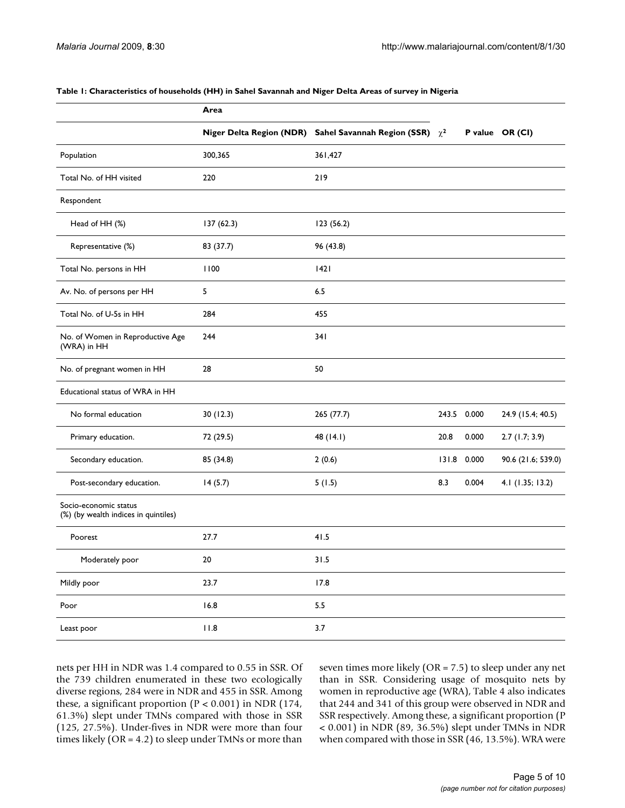|                                                               | Area                            |                                      |      |             |                    |
|---------------------------------------------------------------|---------------------------------|--------------------------------------|------|-------------|--------------------|
|                                                               | <b>Niger Delta Region (NDR)</b> | Sahel Savannah Region (SSR) $\chi^2$ |      |             | P value OR (CI)    |
| Population                                                    | 300,365                         | 361,427                              |      |             |                    |
| Total No. of HH visited                                       | 220                             | 219                                  |      |             |                    |
| Respondent                                                    |                                 |                                      |      |             |                    |
| Head of HH (%)                                                | 137 (62.3)                      | 123 (56.2)                           |      |             |                    |
| Representative (%)                                            | 83 (37.7)                       | 96 (43.8)                            |      |             |                    |
| Total No. persons in HH                                       | 1100                            | 42                                   |      |             |                    |
| Av. No. of persons per HH                                     | 5                               | 6.5                                  |      |             |                    |
| Total No. of U-5s in HH                                       | 284                             | 455                                  |      |             |                    |
| No. of Women in Reproductive Age<br>(WRA) in HH               | 244                             | 341                                  |      |             |                    |
| No. of pregnant women in HH                                   | 28                              | 50                                   |      |             |                    |
| Educational status of WRA in HH                               |                                 |                                      |      |             |                    |
| No formal education                                           | 30(12.3)                        | 265 (77.7)                           |      | 243.5 0.000 | 24.9 (15.4; 40.5)  |
| Primary education.                                            | 72 (29.5)                       | 48 (14.1)                            | 20.8 | 0.000       | 2.7(1.7; 3.9)      |
| Secondary education.                                          | 85 (34.8)                       | 2(0.6)                               |      | 131.8 0.000 | 90.6 (21.6; 539.0) |
| Post-secondary education.                                     | 14(5.7)                         | 5(1.5)                               | 8.3  | 0.004       | 4.1 (1.35; 13.2)   |
| Socio-economic status<br>(%) (by wealth indices in quintiles) |                                 |                                      |      |             |                    |
| Poorest                                                       | 27.7                            | 41.5                                 |      |             |                    |
| Moderately poor                                               | 20                              | 31.5                                 |      |             |                    |
| Mildly poor                                                   | 23.7                            | 17.8                                 |      |             |                    |
| Poor                                                          | 16.8                            | 5.5                                  |      |             |                    |
| Least poor                                                    | $\vert\,\vert$ .8               | $3.7$                                |      |             |                    |

#### **Table 1: Characteristics of households (HH) in Sahel Savannah and Niger Delta Areas of survey in Nigeria**

nets per HH in NDR was 1.4 compared to 0.55 in SSR. Of the 739 children enumerated in these two ecologically diverse regions, 284 were in NDR and 455 in SSR. Among these, a significant proportion ( $P < 0.001$ ) in NDR (174, 61.3%) slept under TMNs compared with those in SSR (125, 27.5%). Under-fives in NDR were more than four times likely  $(OR = 4.2)$  to sleep under TMNs or more than

seven times more likely (OR = 7.5) to sleep under any net than in SSR. Considering usage of mosquito nets by women in reproductive age (WRA), Table 4 also indicates that 244 and 341 of this group were observed in NDR and SSR respectively. Among these, a significant proportion (P < 0.001) in NDR (89, 36.5%) slept under TMNs in NDR when compared with those in SSR (46, 13.5%). WRA were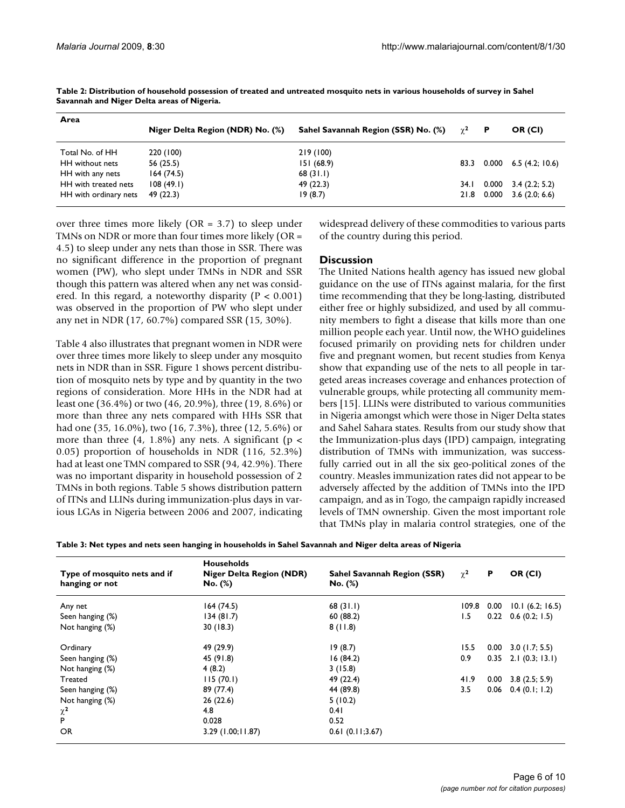| Area                  | Niger Delta Region (NDR) No. (%) | Sahel Savannah Region (SSR) No. (%) | $\gamma^2$ | Р     | OR (CI)                         |
|-----------------------|----------------------------------|-------------------------------------|------------|-------|---------------------------------|
|                       |                                  |                                     |            |       |                                 |
| Total No. of HH       | 220 (100)                        | 219 (100)                           |            |       |                                 |
| HH without nets       | 56 (25.5)                        | 151(68.9)                           | 83.3       |       | $0.000 \quad 6.5 \ (4.2; 10.6)$ |
| HH with any nets      | 164(74.5)                        | 68(31.1)                            |            |       |                                 |
| HH with treated nets  | 108(49.1)                        | 49 (22.3)                           | 34. I      | 0.000 | 3.4(2.2; 5.2)                   |
| HH with ordinary nets | 49 (22.3)                        | 19(8.7)                             | 21.8       | 0.000 | 3.6(2.0:6.6)                    |

**Table 2: Distribution of household possession of treated and untreated mosquito nets in various households of survey in Sahel Savannah and Niger Delta areas of Nigeria.**

over three times more likely (OR = 3.7) to sleep under TMNs on NDR or more than four times more likely (OR = 4.5) to sleep under any nets than those in SSR. There was no significant difference in the proportion of pregnant women (PW), who slept under TMNs in NDR and SSR though this pattern was altered when any net was considered. In this regard, a noteworthy disparity ( $P < 0.001$ ) was observed in the proportion of PW who slept under any net in NDR (17, 60.7%) compared SSR (15, 30%).

Table 4 also illustrates that pregnant women in NDR were over three times more likely to sleep under any mosquito nets in NDR than in SSR. Figure 1 shows percent distribution of mosquito nets by type and by quantity in the two regions of consideration. More HHs in the NDR had at least one (36.4%) or two (46, 20.9%), three (19, 8.6%) or more than three any nets compared with HHs SSR that had one (35, 16.0%), two (16, 7.3%), three (12, 5.6%) or more than three  $(4, 1.8\%)$  any nets. A significant (p < 0.05) proportion of households in NDR (116, 52.3%) had at least one TMN compared to SSR (94, 42.9%). There was no important disparity in household possession of 2 TMNs in both regions. Table 5 shows distribution pattern of ITNs and LLINs during immunization-plus days in various LGAs in Nigeria between 2006 and 2007, indicating widespread delivery of these commodities to various parts of the country during this period.

#### **Discussion**

The United Nations health agency has issued new global guidance on the use of ITNs against malaria, for the first time recommending that they be long-lasting, distributed either free or highly subsidized, and used by all community members to fight a disease that kills more than one million people each year. Until now, the WHO guidelines focused primarily on providing nets for children under five and pregnant women, but recent studies from Kenya show that expanding use of the nets to all people in targeted areas increases coverage and enhances protection of vulnerable groups, while protecting all community members [15]. LLINs were distributed to various communities in Nigeria amongst which were those in Niger Delta states and Sahel Sahara states. Results from our study show that the Immunization-plus days (IPD) campaign, integrating distribution of TMNs with immunization, was successfully carried out in all the six geo-political zones of the country. Measles immunization rates did not appear to be adversely affected by the addition of TMNs into the IPD campaign, and as in Togo, the campaign rapidly increased levels of TMN ownership. Given the most important role that TMNs play in malaria control strategies, one of the

**Table 3: Net types and nets seen hanging in households in Sahel Savannah and Niger delta areas of Nigeria**

| Type of mosquito nets and if<br>hanging or not | <b>Households</b><br><b>Niger Delta Region (NDR)</b><br>No. (%) | <b>Sahel Savannah Region (SSR)</b><br>$No. (\%)$ | $\chi^2$ | P                 | OR (CI)            |
|------------------------------------------------|-----------------------------------------------------------------|--------------------------------------------------|----------|-------------------|--------------------|
| Any net                                        | 164(74.5)                                                       | 68(31.1)                                         | 109.8    | 0.00              | $10.1$ (6.2; 16.5) |
| Seen hanging (%)                               | 134(81.7)                                                       | 60 (88.2)                                        | 1.5      | 0.22              | $0.6$ (0.2; 1.5)   |
| Not hanging (%)                                | 30(18.3)                                                        | 8(11.8)                                          |          |                   |                    |
| Ordinary                                       | 49 (29.9)                                                       | 19(8.7)                                          | 15.5     | 0.00              | $3.0$ (1.7; 5.5)   |
| Seen hanging (%)                               | 45 (91.8)                                                       | 16(84.2)                                         | 0.9      | 0.35              | 2.1(0.3; 13.1)     |
| Not hanging (%)                                | 4(8.2)                                                          | 3(15.8)                                          |          |                   |                    |
| <b>Treated</b>                                 | 115(70.1)                                                       | 49 (22.4)                                        | 41.9     | 0.00 <sub>1</sub> | 3.8(2.5; 5.9)      |
| Seen hanging (%)                               | 89 (77.4)                                                       | 44 (89.8)                                        | 3.5      | 0.06              | 0.4(0.1; 1.2)      |
| Not hanging (%)                                | 26(22.6)                                                        | 5(10.2)                                          |          |                   |                    |
|                                                | 4.8                                                             | 0.41                                             |          |                   |                    |
| $\begin{matrix} \chi^2 \\ P \end{matrix}$      | 0.028                                                           | 0.52                                             |          |                   |                    |
| <b>OR</b>                                      | 3.29 (1.00;11.87)                                               | 0.61(0.11;3.67)                                  |          |                   |                    |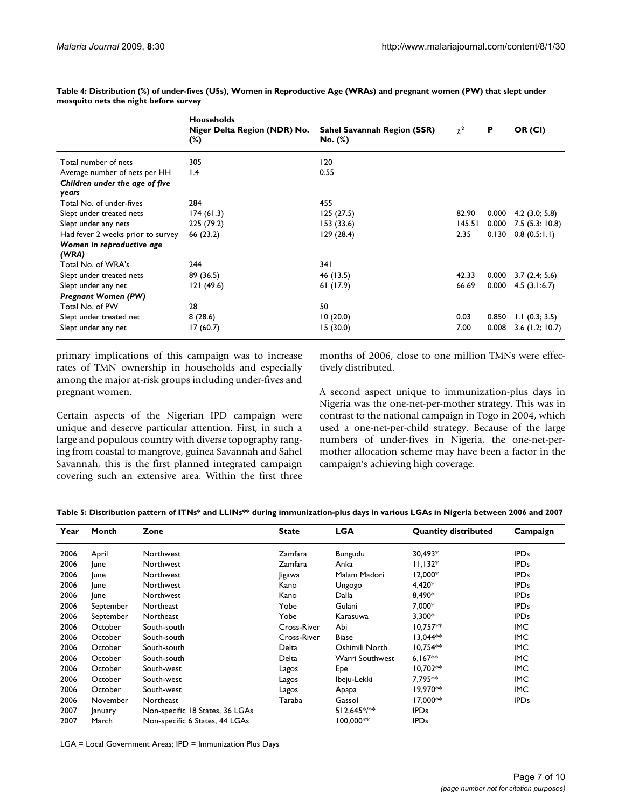|                                    | <b>Households</b><br>Niger Delta Region (NDR) No.<br>$(\%)$ | <b>Sahel Savannah Region (SSR)</b><br>No. (%) | $\chi^2$ | P     | OR (CI)           |
|------------------------------------|-------------------------------------------------------------|-----------------------------------------------|----------|-------|-------------------|
| Total number of nets               | 305                                                         | 120                                           |          |       |                   |
| Average number of nets per HH      | $\mathsf{I}$ .4                                             | 0.55                                          |          |       |                   |
| Children under the age of five     |                                                             |                                               |          |       |                   |
| years                              |                                                             |                                               |          |       |                   |
| Total No. of under-fives           | 284                                                         | 455                                           |          |       |                   |
| Slept under treated nets           | 174(61.3)                                                   | 125(27.5)                                     | 82.90    | 0.000 | $4.2$ (3.0; 5.8)  |
| Slept under any nets               | 225 (79.2)                                                  | 153(33.6)                                     | 145.51   | 0.000 | 7.5(5.3:10.8)     |
| Had fever 2 weeks prior to survey  | 66 (23.2)                                                   | 129(28.4)                                     | 2.35     | 0.130 | 0.8(0.5:1.1)      |
| Women in reproductive age<br>(WRA) |                                                             |                                               |          |       |                   |
| Total No. of WRA's                 | 244                                                         | 341                                           |          |       |                   |
| Slept under treated nets           | 89 (36.5)                                                   | 46 (13.5)                                     | 42.33    | 0.000 | 3.7(2.4; 5.6)     |
| Slept under any net                | 121(49.6)                                                   | 61 (17.9)                                     | 66.69    | 0.000 | 4.5(3.1:6.7)      |
| <b>Pregnant Women (PW)</b>         |                                                             |                                               |          |       |                   |
| Total No. of PW                    | 28                                                          | 50                                            |          |       |                   |
| Slept under treated net            | 8(28.6)                                                     | 10(20.0)                                      | 0.03     | 0.850 | 1.1(0.3; 3.5)     |
| Slept under any net                | 17(60.7)                                                    | 15(30.0)                                      | 7.00     | 0.008 | $3.6$ (1.2; 10.7) |

**Table 4: Distribution (%) of under-fives (U5s), Women in Reproductive Age (WRAs) and pregnant women (PW) that slept under mosquito nets the night before survey**

primary implications of this campaign was to increase rates of TMN ownership in households and especially among the major at-risk groups including under-fives and pregnant women.

Certain aspects of the Nigerian IPD campaign were unique and deserve particular attention. First, in such a large and populous country with diverse topography ranging from coastal to mangrove, guinea Savannah and Sahel Savannah, this is the first planned integrated campaign covering such an extensive area. Within the first three months of 2006, close to one million TMNs were effectively distributed.

A second aspect unique to immunization-plus days in Nigeria was the one-net-per-mother strategy. This was in contrast to the national campaign in Togo in 2004, which used a one-net-per-child strategy. Because of the large numbers of under-fives in Nigeria, the one-net-permother allocation scheme may have been a factor in the campaign's achieving high coverage.

|  | Table 5: Distribution pattern of ITNs* and LLINs** during immunization-plus days in various LGAs in Nigeria between 2006 and 2007 |  |  |
|--|-----------------------------------------------------------------------------------------------------------------------------------|--|--|
|--|-----------------------------------------------------------------------------------------------------------------------------------|--|--|

| Year | Month     | Zone                            | <b>State</b> | <b>LGA</b>             | <b>Quantity distributed</b> | Campaign    |
|------|-----------|---------------------------------|--------------|------------------------|-----------------------------|-------------|
| 2006 | April     | Northwest                       | Zamfara      | Bungudu                | $30.493*$                   | <b>IPDs</b> |
| 2006 | lune      | Northwest                       | Zamfara      | Anka                   | $11,132*$                   | <b>IPDs</b> |
| 2006 | lune      | Northwest                       | ligawa       | Malam Madori           | $12,000*$                   | <b>IPDs</b> |
| 2006 | lune      | Northwest                       | Kano         | Ungogo                 | 4,420*                      | <b>IPDs</b> |
| 2006 | lune      | Northwest                       | Kano         | Dalla                  | 8,490*                      | <b>IPDs</b> |
| 2006 | September | Northeast                       | Yobe         | Gulani                 | 7,000*                      | <b>IPDs</b> |
| 2006 | September | Northeast                       | Yobe         | Karasuwa               | $3.300*$                    | <b>IPDs</b> |
| 2006 | October   | South-south                     | Cross-River  | Abi                    | $10.757**$                  | <b>IMC</b>  |
| 2006 | October   | South-south                     | Cross-River  | <b>Biase</b>           | $13,044**$                  | <b>IMC</b>  |
| 2006 | October   | South-south                     | Delta        | Oshimili North         | $10,754**$                  | <b>IMC</b>  |
| 2006 | October   | South-south                     | Delta        | <b>Warri Southwest</b> | $6,167**$                   | <b>IMC</b>  |
| 2006 | October   | South-west                      | Lagos        | Epe                    | $10.702**$                  | <b>IMC</b>  |
| 2006 | October   | South-west                      | Lagos        | Ibeju-Lekki            | 7.795**                     | <b>IMC</b>  |
| 2006 | October   | South-west                      | Lagos        | Apapa                  | 19.970**                    | <b>IMC</b>  |
| 2006 | November  | Northeast                       | Taraba       | Gassol                 | 17,000 <sup>*</sup>         | <b>IPDs</b> |
| 2007 | January   | Non-specific 18 States, 36 LGAs |              | $512,645$ */**         | <b>IPDs</b>                 |             |
| 2007 | March     | Non-specific 6 States, 44 LGAs  |              | $100,000**$            | <b>IPDs</b>                 |             |

LGA = Local Government Areas; IPD = Immunization Plus Days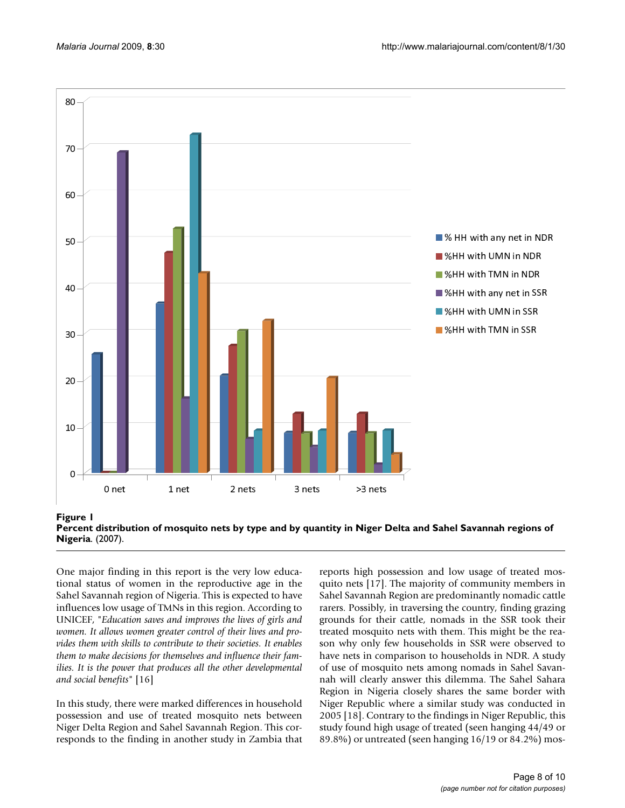



One major finding in this report is the very low educational status of women in the reproductive age in the Sahel Savannah region of Nigeria. This is expected to have influences low usage of TMNs in this region. According to UNICEF, "*Education saves and improves the lives of girls and women. It allows women greater control of their lives and provides them with skills to contribute to their societies. It enables them to make decisions for themselves and influence their families. It is the power that produces all the other developmental and social benefits*" [16]

In this study, there were marked differences in household possession and use of treated mosquito nets between Niger Delta Region and Sahel Savannah Region. This corresponds to the finding in another study in Zambia that reports high possession and low usage of treated mosquito nets [17]. The majority of community members in Sahel Savannah Region are predominantly nomadic cattle rarers. Possibly, in traversing the country, finding grazing grounds for their cattle, nomads in the SSR took their treated mosquito nets with them. This might be the reason why only few households in SSR were observed to have nets in comparison to households in NDR. A study of use of mosquito nets among nomads in Sahel Savannah will clearly answer this dilemma. The Sahel Sahara Region in Nigeria closely shares the same border with Niger Republic where a similar study was conducted in 2005 [18]. Contrary to the findings in Niger Republic, this study found high usage of treated (seen hanging 44/49 or 89.8%) or untreated (seen hanging 16/19 or 84.2%) mos-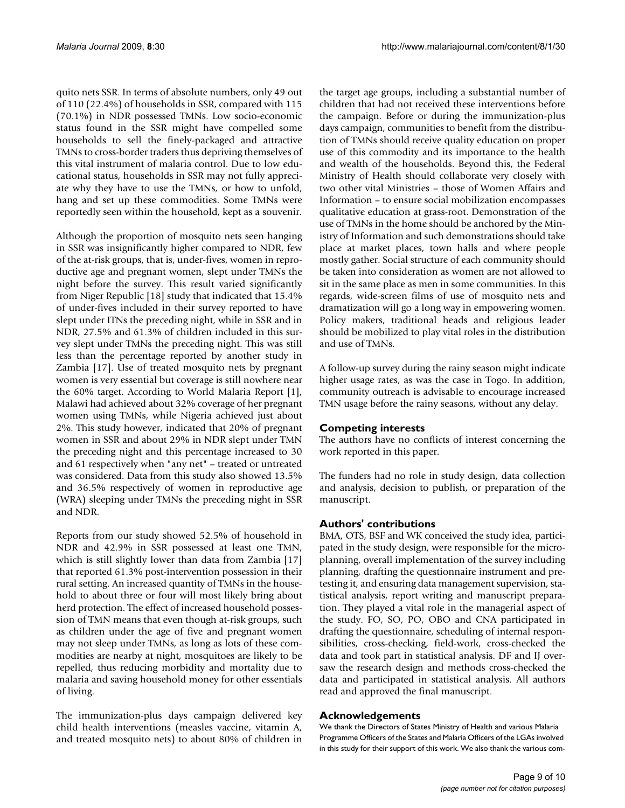quito nets SSR. In terms of absolute numbers, only 49 out of 110 (22.4%) of households in SSR, compared with 115 (70.1%) in NDR possessed TMNs. Low socio-economic status found in the SSR might have compelled some households to sell the finely-packaged and attractive TMNs to cross-border traders thus depriving themselves of this vital instrument of malaria control. Due to low educational status, households in SSR may not fully appreciate why they have to use the TMNs, or how to unfold, hang and set up these commodities. Some TMNs were reportedly seen within the household, kept as a souvenir.

Although the proportion of mosquito nets seen hanging in SSR was insignificantly higher compared to NDR, few of the at-risk groups, that is, under-fives, women in reproductive age and pregnant women, slept under TMNs the night before the survey. This result varied significantly from Niger Republic [18] study that indicated that 15.4% of under-fives included in their survey reported to have slept under ITNs the preceding night, while in SSR and in NDR, 27.5% and 61.3% of children included in this survey slept under TMNs the preceding night. This was still less than the percentage reported by another study in Zambia [17]. Use of treated mosquito nets by pregnant women is very essential but coverage is still nowhere near the 60% target. According to World Malaria Report [1], Malawi had achieved about 32% coverage of her pregnant women using TMNs, while Nigeria achieved just about 2%. This study however, indicated that 20% of pregnant women in SSR and about 29% in NDR slept under TMN the preceding night and this percentage increased to 30 and 61 respectively when "any net" – treated or untreated was considered. Data from this study also showed 13.5% and 36.5% respectively of women in reproductive age (WRA) sleeping under TMNs the preceding night in SSR and NDR.

Reports from our study showed 52.5% of household in NDR and 42.9% in SSR possessed at least one TMN, which is still slightly lower than data from Zambia [17] that reported 61.3% post-intervention possession in their rural setting. An increased quantity of TMNs in the household to about three or four will most likely bring about herd protection. The effect of increased household possession of TMN means that even though at-risk groups, such as children under the age of five and pregnant women may not sleep under TMNs, as long as lots of these commodities are nearby at night, mosquitoes are likely to be repelled, thus reducing morbidity and mortality due to malaria and saving household money for other essentials of living.

The immunization-plus days campaign delivered key child health interventions (measles vaccine, vitamin A, and treated mosquito nets) to about 80% of children in

the target age groups, including a substantial number of children that had not received these interventions before the campaign. Before or during the immunization-plus days campaign, communities to benefit from the distribution of TMNs should receive quality education on proper use of this commodity and its importance to the health and wealth of the households. Beyond this, the Federal Ministry of Health should collaborate very closely with two other vital Ministries – those of Women Affairs and Information – to ensure social mobilization encompasses qualitative education at grass-root. Demonstration of the use of TMNs in the home should be anchored by the Ministry of Information and such demonstrations should take place at market places, town halls and where people mostly gather. Social structure of each community should be taken into consideration as women are not allowed to sit in the same place as men in some communities. In this regards, wide-screen films of use of mosquito nets and dramatization will go a long way in empowering women. Policy makers, traditional heads and religious leader should be mobilized to play vital roles in the distribution and use of TMNs.

A follow-up survey during the rainy season might indicate higher usage rates, as was the case in Togo. In addition, community outreach is advisable to encourage increased TMN usage before the rainy seasons, without any delay.

#### **Competing interests**

The authors have no conflicts of interest concerning the work reported in this paper.

The funders had no role in study design, data collection and analysis, decision to publish, or preparation of the manuscript.

#### **Authors' contributions**

BMA, OTS, BSF and WK conceived the study idea, participated in the study design, were responsible for the microplanning, overall implementation of the survey including planning, drafting the questionnaire instrument and pretesting it, and ensuring data management supervision, statistical analysis, report writing and manuscript preparation. They played a vital role in the managerial aspect of the study. FO, SO, PO, OBO and CNA participated in drafting the questionnaire, scheduling of internal responsibilities, cross-checking, field-work, cross-checked the data and took part in statistical analysis. DF and IJ oversaw the research design and methods cross-checked the data and participated in statistical analysis. All authors read and approved the final manuscript.

#### **Acknowledgements**

We thank the Directors of States Ministry of Health and various Malaria Programme Officers of the States and Malaria Officers of the LGAs involved in this study for their support of this work. We also thank the various com